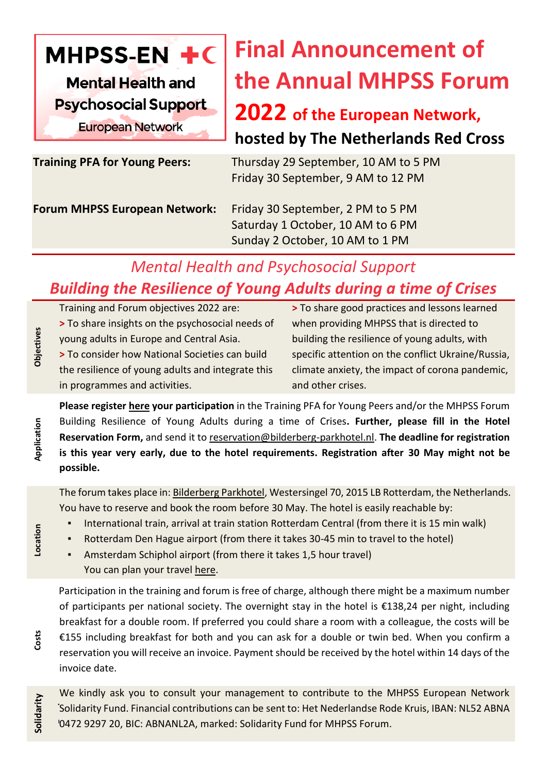

# **Final Announcement of the Annual MHPSS Forum**

### **2022 of the European Network, hosted by The Netherlands Red Cross**

**Training PFA for Young Peers:** Thursday 29 September, 10 AM to 5 PM Friday 30 September, 9 AM to 12 PM

**Forum MHPSS European Network:** Friday 30 September, 2 PM to 5 PM

 Saturday 1 October, 10 AM to 6 PM Sunday 2 October, 10 AM to 1 PM

## *Mental Health and Psychosocial Support Building the Resilience of Young Adults during a time of Crises*

Training and Forum objectives 2022 are: **>** To share insights on the psychosocial needs of young adults in Europe and Central Asia. **>** To consider how National Societies can build the resilience of young adults and integrate this in programmes and activities.

**>** To share good practices and lessons learned when providing MHPSS that is directed to building the resilience of young adults, with specific attention on the conflict Ukraine/Russia, climate anxiety, the impact of corona pandemic, and other crises.

**Please register [here](https://forms.office.com/Pages/ResponsePage.aspx?id=kJer0-Jq2EuqXgKGRIPnx7K-iA2X8yZCiGiu628LukNUNEg3UlVPN0EyWlBJVUNVSEZaMzBDSUVUVi4u) your participation** in the Training PFA for Young Peers and/or the MHPSS Forum Building Resilience of Young Adults during a time of Crises**. Further, please fill in the Hotel Reservation Form,** and send it to [reservation@bilderberg-parkhotel.nl.](mailto:reservation@bilderberg-parkhotel.nl) **The deadline for registration is this year very early, due to the hotel requirements. Registration after 30 May might not be possible.** 

The forum takes place in: [Bilderberg Parkhotel,](https://www.bilderberg.nl/en/rotterdam/parkhotel-rotterdam/) Westersingel 70, 2015 LB Rotterdam, the Netherlands. You have to reserve and book the room before 30 May. The hotel is easily reachable by:

- International train, arrival at train station Rotterdam Central (from there it is 15 min walk)
- Rotterdam Den Hague airport (from there it takes 30-45 min to travel to the hotel)
- Amsterdam Schiphol airport (from there it takes 1,5 hour travel) You can plan your travel [here.](https://www.google.com/maps/dir/52.5000704,13.3578752/51.9155856,4.4735849/@52.1736921,4.4274337,6z/data=!3m1!4b1!4m4!4m3!1m1!4e1!1m0)

Participation in the training and forum is free of charge, although there might be a maximum number of participants per national society. The overnight stay in the hotel is €138,24 per night, including breakfast for a double room. If preferred you could share a room with a colleague, the costs will be €155 including breakfast for both and you can ask for a double or twin bed. When you confirm a reservation you will receive an invoice. Payment should be received by the hotel within 14 days of the invoice date.

Solidarity Fund. Financial contributions can be sent to: Het Nederlandse Rode Kruis, IBAN: NL52 ABNA<br>19472.9297.29. RIG: ABNANL2A, merked: Solidarity Fund for MURSS Ferum We kindly ask you to consult your management to contribute to the MHPSS European Network 0472 9297 20, BIC: ABNANL2A, marked: Solidarity Fund for MHPSS Forum.

**Application**

**Objectives**

**Costs**

**Solidarity**

**Location**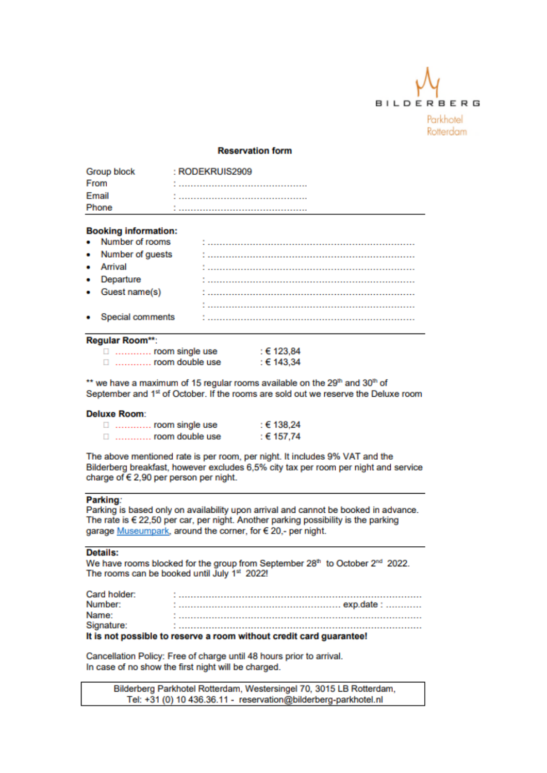

#### **Reservation form**

| Group block | : RODEKRUIS2909 |
|-------------|-----------------|
| From        |                 |
| Email       |                 |
| Phone       |                 |

#### **Booking information:**

| • Number of rooms  |  |
|--------------------|--|
| • Number of guests |  |
| • Arrival          |  |
| • Departure        |  |
| • Guest name(s)    |  |
|                    |  |
| • Special comments |  |

#### Regular Room\*\*:

| ш. | room single use | : € 123,84          |
|----|-----------------|---------------------|
|    | room double use | : $\epsilon$ 143.34 |

\*\* we have a maximum of 15 regular rooms available on the 29th and 30th of September and 1st of October. If the rooms are sold out we reserve the Deluxe room

#### **Deluxe Room:**

| ш | room single use | : € 138,24 |
|---|-----------------|------------|
|   | room double use | : € 157,74 |

The above mentioned rate is per room, per night. It includes 9% VAT and the Bilderberg breakfast, however excludes 6,5% city tax per room per night and service charge of € 2,90 per person per night.

#### Parking:

Parking is based only on availability upon arrival and cannot be booked in advance. The rate is  $622,50$  per car, per night. Another parking possibility is the parking garage Museumpark, around the corner, for € 20,- per night.

#### Details:

We have rooms blocked for the group from September 28th to October 2<sup>nd</sup> 2022. The rooms can be booked until July 1st 2022!

| Card holder: |  |
|--------------|--|
| Number:      |  |
| Name:        |  |
| Signature:   |  |

#### It is not possible to reserve a room without credit card guarantee!

Cancellation Policy: Free of charge until 48 hours prior to arrival. In case of no show the first night will be charged.

Bilderberg Parkhotel Rotterdam, Westersingel 70, 3015 LB Rotterdam, Tel: +31 (0) 10 436.36.11 - reservation@bilderberg-parkhotel.nl